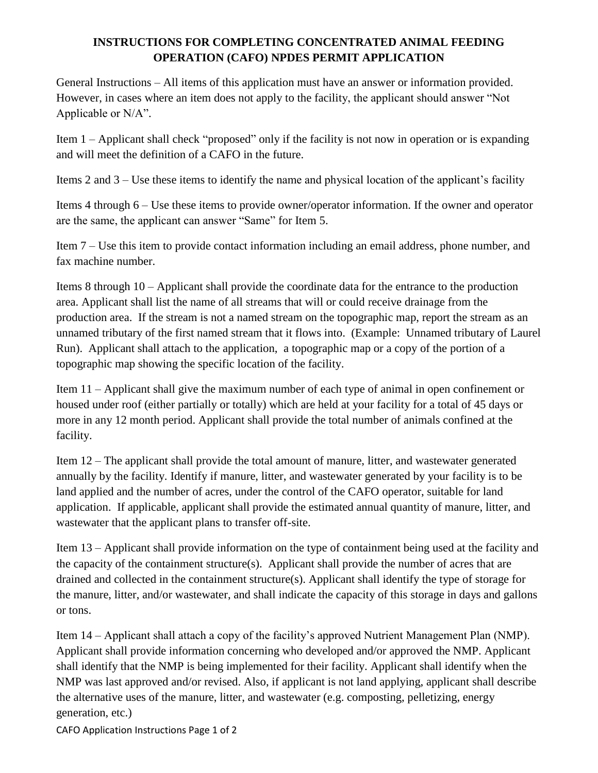## **INSTRUCTIONS FOR COMPLETING CONCENTRATED ANIMAL FEEDING OPERATION (CAFO) NPDES PERMIT APPLICATION**

General Instructions – All items of this application must have an answer or information provided. However, in cases where an item does not apply to the facility, the applicant should answer "Not Applicable or N/A".

Item 1 – Applicant shall check "proposed" only if the facility is not now in operation or is expanding and will meet the definition of a CAFO in the future.

Items 2 and 3 – Use these items to identify the name and physical location of the applicant's facility

Items 4 through 6 – Use these items to provide owner/operator information. If the owner and operator are the same, the applicant can answer "Same" for Item 5.

Item 7 – Use this item to provide contact information including an email address, phone number, and fax machine number.

Items 8 through 10 – Applicant shall provide the coordinate data for the entrance to the production area. Applicant shall list the name of all streams that will or could receive drainage from the production area. If the stream is not a named stream on the topographic map, report the stream as an unnamed tributary of the first named stream that it flows into. (Example: Unnamed tributary of Laurel Run). Applicant shall attach to the application, a topographic map or a copy of the portion of a topographic map showing the specific location of the facility.

Item 11 – Applicant shall give the maximum number of each type of animal in open confinement or housed under roof (either partially or totally) which are held at your facility for a total of 45 days or more in any 12 month period. Applicant shall provide the total number of animals confined at the facility.

Item 12 – The applicant shall provide the total amount of manure, litter, and wastewater generated annually by the facility. Identify if manure, litter, and wastewater generated by your facility is to be land applied and the number of acres, under the control of the CAFO operator, suitable for land application. If applicable, applicant shall provide the estimated annual quantity of manure, litter, and wastewater that the applicant plans to transfer off-site.

Item 13 – Applicant shall provide information on the type of containment being used at the facility and the capacity of the containment structure(s). Applicant shall provide the number of acres that are drained and collected in the containment structure(s). Applicant shall identify the type of storage for the manure, litter, and/or wastewater, and shall indicate the capacity of this storage in days and gallons or tons.

Item 14 – Applicant shall attach a copy of the facility's approved Nutrient Management Plan (NMP). Applicant shall provide information concerning who developed and/or approved the NMP. Applicant shall identify that the NMP is being implemented for their facility. Applicant shall identify when the NMP was last approved and/or revised. Also, if applicant is not land applying, applicant shall describe the alternative uses of the manure, litter, and wastewater (e.g. composting, pelletizing, energy generation, etc.)

CAFO Application Instructions Page 1 of 2